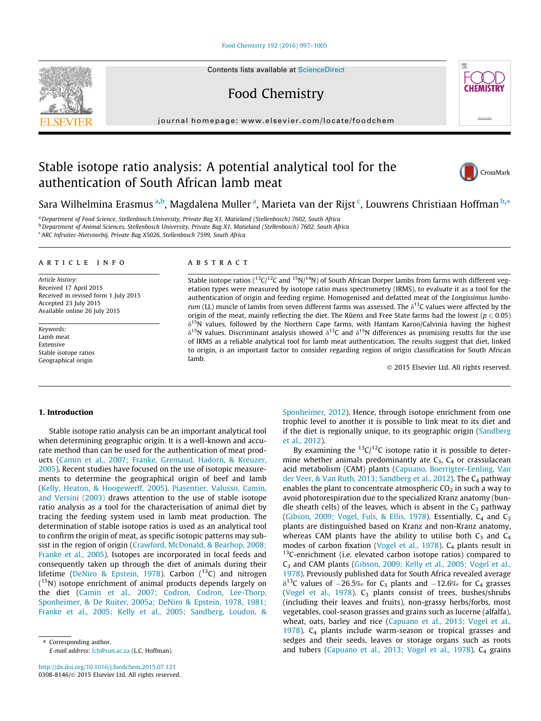[Food Chemistry 192 \(2016\) 997–1005](http://dx.doi.org/10.1016/j.foodchem.2015.07.121)

Contents lists available at [ScienceDirect](http://www.sciencedirect.com/science/journal/03088146)

Food Chemistry

journal homepage: [www.elsevier.com/locate/foodchem](http://www.elsevier.com/locate/foodchem)

# Stable isotope ratio analysis: A potential analytical tool for the authentication of South African lamb meat

Sara Wilhelmina Erasmus <sup>a,b</sup>, Magdalena Muller <sup>a</sup>, Marieta van der Rijst <sup>c</sup>, Louwrens Christiaan Hoffman <sup>b,</sup>\*

a Department of Food Science, Stellenbosch University, Private Bag X1, Matieland (Stellenbosch) 7602, South Africa <sup>b</sup> Department of Animal Sciences, Stellenbosch University, Private Bag X1, Matieland (Stellenbosch) 7602, South Africa <sup>c</sup> ARC Infruitec-Nietvoorbij, Private Bag X5026, Stellenbosch 7599, South Africa

#### article info

Article history: Received 17 April 2015 Received in revised form 1 July 2015 Accepted 23 July 2015 Available online 26 July 2015

Keywords: Lamb meat Extensive Stable isotope ratios Geographical origin

# A B S T R A C T

Stable isotope ratios ( $^{13}C/^{12}C$  and  $^{15}N/^{14}N$ ) of South African Dorper lambs from farms with different vegetation types were measured by isotope ratio mass spectrometry (IRMS), to evaluate it as a tool for the authentication of origin and feeding regime. Homogenised and defatted meat of the Longissimus lumborum (LL) muscle of lambs from seven different farms was assessed. The  $\delta^{13}$ C values were affected by the origin of the meat, mainly reflecting the diet. The Rûens and Free State farms had the lowest ( $p \le 0.05$ )  $\delta^{15}$ N values, followed by the Northern Cape farms, with Hantam Karoo/Calvinia having the highest  $\delta^{15}$ N values. Discriminant analysis showed  $\delta^{13}$ C and  $\delta^{15}$ N differences as promising results for the use of IRMS as a reliable analytical tool for lamb meat authentication. The results suggest that diet, linked to origin, is an important factor to consider regarding region of origin classification for South African lamb.

- 2015 Elsevier Ltd. All rights reserved.

## 1. Introduction

Stable isotope ratio analysis can be an important analytical tool when determining geographic origin. It is a well-known and accurate method than can be used for the authentication of meat products [\(Camin et al., 2007; Franke, Gremaud, Hadorn, & Kreuzer,](#page-7-0) [2005](#page-7-0)). Recent studies have focused on the use of isotopic measurements to determine the geographical origin of beef and lamb ([Kelly, Heaton, & Hoogewerff, 2005](#page-7-0)). [Piasentier, Valusso, Camin,](#page-7-0) [and Versini \(2003\)](#page-7-0) draws attention to the use of stable isotope ratio analysis as a tool for the characterisation of animal diet by tracing the feeding system used in lamb meat production. The determination of stable isotope ratios is used as an analytical tool to confirm the origin of meat, as specific isotopic patterns may subsist in the region of origin [\(Crawford, McDonald, & Bearhop, 2008;](#page-7-0) [Franke et al., 2005\)](#page-7-0). Isotopes are incorporated in local feeds and consequently taken up through the diet of animals during their lifetime [\(DeNiro & Epstein, 1978\)](#page-7-0). Carbon  $(^{13}C)$  and nitrogen  $(15N)$  isotope enrichment of animal products depends largely on the diet [\(Camin et al., 2007; Codron, Codron, Lee-Thorp,](#page-7-0) [Sponheimer, & De Ruiter, 2005a; DeNiro & Epstein, 1978, 1981;](#page-7-0) [Franke et al., 2005; Kelly et al., 2005; Sandberg, Loudon, &](#page-7-0)

<http://dx.doi.org/10.1016/j.foodchem.2015.07.121> 0308-8146/© 2015 Elsevier Ltd. All rights reserved. [Sponheimer, 2012\)](#page-7-0). Hence, through isotope enrichment from one trophic level to another it is possible to link meat to its diet and if the diet is regionally unique, to its geographic origin ([Sandberg](#page-8-0) [et al., 2012\)](#page-8-0).

By examining the  ${}^{13}C/{}^{12}C$  isotope ratio it is possible to determine whether animals predominantly ate  $C_3$ ,  $C_4$  or crassulacean acid metabolism (CAM) plants [\(Capuano, Boerrigter-Eenling, Van](#page-7-0) [der Veer, & Van Ruth, 2013; Sandberg et al., 2012](#page-7-0)). The C<sub>4</sub> pathway enables the plant to concentrate atmospheric  $CO<sub>2</sub>$  in such a way to avoid photorespiration due to the specialized Kranz anatomy (bundle sheath cells) of the leaves, which is absent in the  $C_3$  pathway ([Gibson, 2009; Vogel, Fuls, & Ellis, 1978](#page-7-0)). Essentially,  $C_4$  and  $C_3$ plants are distinguished based on Kranz and non-Kranz anatomy, whereas CAM plants have the ability to utilise both  $C_3$  and  $C_4$ modes of carbon fixation [\(Vogel et al., 1978](#page-8-0)).  $C_4$  plants result in <sup>13</sup>C-enrichment (i.e. elevated carbon isotope ratios) compared to C<sub>3</sub> and CAM plants ([Gibson, 2009; Kelly et al., 2005; Vogel et al.,](#page-7-0) [1978\)](#page-7-0). Previously published data for South Africa revealed average  $\delta^{13}$ C values of  $-26.5\%$  for C<sub>3</sub> plants and  $-12.6\%$  for C<sub>4</sub> grasses ([Vogel et al., 1978\)](#page-8-0).  $C_3$  plants consist of trees, bushes/shrubs (including their leaves and fruits), non-grassy herbs/forbs, most vegetables, cool-season grasses and grains such as lucerne (alfalfa), wheat, oats, barley and rice [\(Capuano et al., 2013; Vogel et al.,](#page-7-0) [1978\)](#page-7-0).  $C_4$  plants include warm-season or tropical grasses and sedges and their seeds, leaves or storage organs such as roots and tubers [\(Capuano et al., 2013; Vogel et al., 1978](#page-7-0)). C<sub>4</sub> grains







<sup>⇑</sup> Corresponding author. E-mail address: [lch@sun.ac.za](mailto:lch@sun.ac.za) (L.C. Hoffman).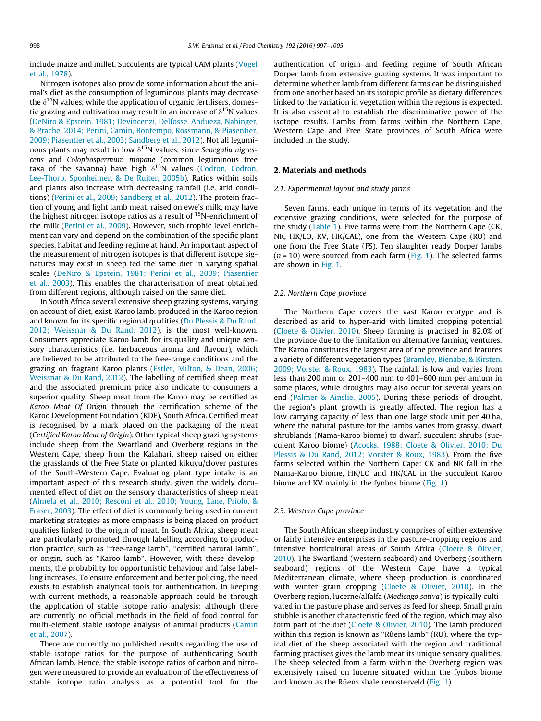include maize and millet. Succulents are typical CAM plants ([Vogel](#page-8-0) [et al., 1978\)](#page-8-0).

Nitrogen isotopes also provide some information about the animal's diet as the consumption of leguminous plants may decrease the  $\delta^{15}$ N values, while the application of organic fertilisers, domestic grazing and cultivation may result in an increase of  $\delta^{15}N$  values ([DeNiro & Epstein, 1981; Devincenzi, Delfosse, Andueza, Nabinger,](#page-7-0) [& Prache, 2014; Perini, Camin, Bontempo, Rossmann, & Piasentier,](#page-7-0) [2009; Piasentier et al., 2003; Sandberg et al., 2012](#page-7-0)). Not all leguminous plants may result in low  $\delta^{15}N$  values, since Senegalia nigrescens and Colophospermum mopane (common leguminous tree taxa of the savanna) have high  $\delta^{15}N$  values ([Codron, Codron,](#page-7-0) [Lee-Thorp, Sponheimer, & De Ruiter, 2005b\)](#page-7-0). Ratios within soils and plants also increase with decreasing rainfall (i.e. arid conditions) [\(Perini et al., 2009; Sandberg et al., 2012](#page-7-0)). The protein fraction of young and light lamb meat, raised on ewe's milk, may have the highest nitrogen isotope ratios as a result of  $15N$ -enrichment of the milk ([Perini et al., 2009\)](#page-7-0). However, such trophic level enrichment can vary and depend on the combination of the specific plant species, habitat and feeding regime at hand. An important aspect of the measurement of nitrogen isotopes is that different isotope signatures may exist in sheep fed the same diet in varying spatial scales ([DeNiro & Epstein, 1981; Perini et al., 2009; Piasentier](#page-7-0) [et al., 2003\)](#page-7-0). This enables the characterisation of meat obtained from different regions, although raised on the same diet.

In South Africa several extensive sheep grazing systems, varying on account of diet, exist. Karoo lamb, produced in the Karoo region and known for its specific regional qualities [\(Du Plessis & Du Rand,](#page-7-0) [2012; Weissnar & Du Rand, 2012\)](#page-7-0), is the most well-known. Consumers appreciate Karoo lamb for its quality and unique sensory characteristics (i.e. herbaceous aroma and flavour), which are believed to be attributed to the free-range conditions and the grazing on fragrant Karoo plants ([Estler, Milton, & Dean, 2006;](#page-7-0) [Weissnar & Du Rand, 2012\)](#page-7-0). The labelling of certified sheep meat and the associated premium price also indicate to consumers a superior quality. Sheep meat from the Karoo may be certified as Karoo Meat Of Origin through the certification scheme of the Karoo Development Foundation (KDF), South Africa. Certified meat is recognised by a mark placed on the packaging of the meat (Certified Karoo Meat of Origin). Other typical sheep grazing systems include sheep from the Swartland and Overberg regions in the Western Cape, sheep from the Kalahari, sheep raised on either the grasslands of the Free State or planted kikuyu/clover pastures of the South-Western Cape. Evaluating plant type intake is an important aspect of this research study, given the widely documented effect of diet on the sensory characteristics of sheep meat ([Almela et al., 2010; Resconi et al., 2010; Young, Lane, Priolo, &](#page-7-0) [Fraser, 2003\)](#page-7-0). The effect of diet is commonly being used in current marketing strategies as more emphasis is being placed on product qualities linked to the origin of meat. In South Africa, sheep meat are particularly promoted through labelling according to production practice, such as "free-range lamb", "certified natural lamb", or origin, such as ''Karoo lamb''. However, with these developments, the probability for opportunistic behaviour and false labelling increases. To ensure enforcement and better policing, the need exists to establish analytical tools for authentication. In keeping with current methods, a reasonable approach could be through the application of stable isotope ratio analysis; although there are currently no official methods in the field of food control for multi-element stable isotope analysis of animal products ([Camin](#page-7-0) [et al., 2007\)](#page-7-0).

There are currently no published results regarding the use of stable isotope ratios for the purpose of authenticating South African lamb. Hence, the stable isotope ratios of carbon and nitrogen were measured to provide an evaluation of the effectiveness of stable isotope ratio analysis as a potential tool for the authentication of origin and feeding regime of South African Dorper lamb from extensive grazing systems. It was important to determine whether lamb from different farms can be distinguished from one another based on its isotopic profile as dietary differences linked to the variation in vegetation within the regions is expected. It is also essential to establish the discriminative power of the isotope results. Lambs from farms within the Northern Cape, Western Cape and Free State provinces of South Africa were included in the study.

# 2. Materials and methods

### 2.1. Experimental layout and study farms

Seven farms, each unique in terms of its vegetation and the extensive grazing conditions, were selected for the purpose of the study ([Table 1\)](#page-2-0). Five farms were from the Northern Cape (CK, NK, HK/LO, KV, HK/CAL), one from the Western Cape (RU) and one from the Free State (FS). Ten slaughter ready Dorper lambs  $(n = 10)$  were sourced from each farm [\(Fig. 1](#page-2-0)). The selected farms are shown in [Fig. 1](#page-2-0).

#### 2.2. Northern Cape province

The Northern Cape covers the vast Karoo ecotype and is described as arid to hyper-arid with limited cropping potential ([Cloete & Olivier, 2010\)](#page-7-0). Sheep farming is practised in 82.0% of the province due to the limitation on alternative farming ventures. The Karoo constitutes the largest area of the province and features a variety of different vegetation types [\(Bramley, Bienabe, & Kirsten,](#page-7-0) [2009; Vorster & Roux, 1983\)](#page-7-0). The rainfall is low and varies from less than 200 mm or 201–400 mm to 401–600 mm per annum in some places, while droughts may also occur for several years on end ([Palmer & Ainslie, 2005\)](#page-7-0). During these periods of drought, the region's plant growth is greatly affected. The region has a low carrying capacity of less than one large stock unit per 40 ha, where the natural pasture for the lambs varies from grassy, dwarf shrublands (Nama-Karoo biome) to dwarf, succulent shrubs (succulent Karoo biome) [\(Acocks, 1988; Cloete & Olivier, 2010; Du](#page-7-0) [Plessis & Du Rand, 2012; Vorster & Roux, 1983](#page-7-0)). From the five farms selected within the Northern Cape: CK and NK fall in the Nama-Karoo biome, HK/LO and HK/CAL in the succulent Karoo biome and KV mainly in the fynbos biome [\(Fig. 1\)](#page-2-0).

#### 2.3. Western Cape province

The South African sheep industry comprises of either extensive or fairly intensive enterprises in the pasture-cropping regions and intensive horticultural areas of South Africa ([Cloete & Olivier,](#page-7-0) [2010\)](#page-7-0). The Swartland (western seaboard) and Overberg (southern seaboard) regions of the Western Cape have a typical Mediterranean climate, where sheep production is coordinated with winter grain cropping [\(Cloete & Olivier, 2010](#page-7-0)). In the Overberg region, lucerne/alfalfa (Medicago sativa) is typically cultivated in the pasture phase and serves as feed for sheep. Small grain stubble is another characteristic feed of the region, which may also form part of the diet ([Cloete & Olivier, 2010\)](#page-7-0). The lamb produced within this region is known as ''Rûens lamb'' (RU), where the typical diet of the sheep associated with the region and traditional farming practises gives the lamb meat its unique sensory qualities. The sheep selected from a farm within the Overberg region was extensively raised on lucerne situated within the fynbos biome and known as the Rûens shale renosterveld  $(Fig. 1)$ .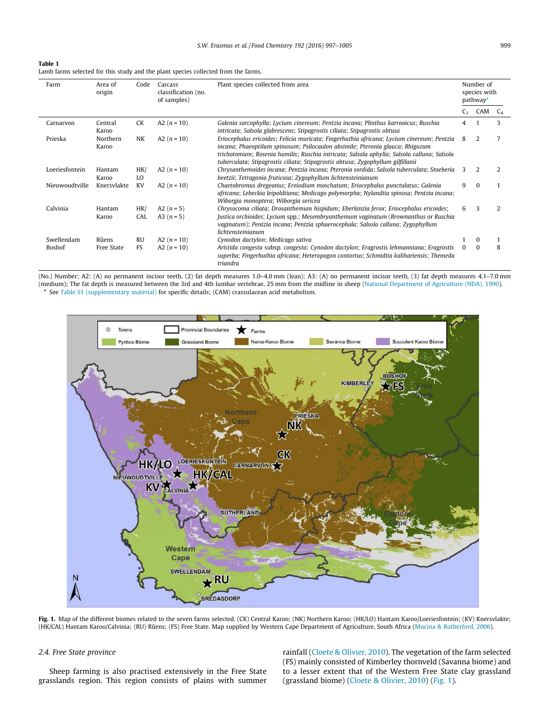<span id="page-2-0"></span>

| Table 1                                                                            |  |
|------------------------------------------------------------------------------------|--|
| Lamb farms selected for this study and the plant species collected from the farms. |  |

| Farm           | Area of<br>origin        | Code       | Carcass<br>classification (no.<br>of samples) | Plant species collected from area                                                                                                                                                                                                                                                                                                                           |         | Number of<br>species with<br>pathway <sup>a</sup> |   |
|----------------|--------------------------|------------|-----------------------------------------------|-------------------------------------------------------------------------------------------------------------------------------------------------------------------------------------------------------------------------------------------------------------------------------------------------------------------------------------------------------------|---------|---------------------------------------------------|---|
|                |                          |            |                                               |                                                                                                                                                                                                                                                                                                                                                             | $C_{3}$ | CAM                                               |   |
| Carnarvon      | Central<br>Karoo         | <b>CK</b>  | A2 $(n = 10)$                                 | Galenia sarcophylla; Lycium cinereum; Pentzia incana; Plinthus karrooicus; Ruschia<br>intricata; Salsola glabrescens; Stipagrostis ciliata; Stipagrostis obtusa                                                                                                                                                                                             | 4       |                                                   | 3 |
| Prieska        | <b>Northern</b><br>Karoo | NK         | A2 $(n = 10)$                                 | Eriocephalus ericoides; Felicia muricata; Fingerhuthia africana; Lycium cinereum; Pentzia<br>incana; Phaeoptilum spinosum; Psilocaulon absimile; Pteronia glauca; Rhigozum<br>trichotomum; Rosenia humilis; Ruschia intricata; Salsola aphylla; Salsola calluna; Salsola<br>tuberculata; Stipagrostis ciliata; Stipagrostis obtusa; Zygophyllum gilfillanii | 8       | 2                                                 |   |
| Loeriesfontein | Hantam<br>Karoo          | HK/<br>LO  | A2 $(n = 10)$                                 | Chrysanthemoides incana; Pentzia incana; Pteronia sordida; Salsola tuberculata; Stoeberia<br>beetzii; Tetragonia fruticosa; Zygophyllum lichtensteinianum                                                                                                                                                                                                   | 3       | $\mathcal{L}$                                     |   |
| Nieuwoudtville | Knersvlakte              | KV         | A2 $(n = 10)$                                 | Chaetobromus dregeanus; Ereiodium moschatum; Eriocephalus punctulatus; Galenia<br>africana; Lebeckia leipoldtiana; Medicago polymorpha; Nylandtia spinosa; Pentzia incana;<br>Wiborgia monoptera; Wiborgia sericea                                                                                                                                          | 9       | $\Omega$                                          |   |
| Calvinia       | Hantam<br>Karoo          | HK/<br>CAL | A2 $(n = 5)$<br>A3 $(n = 5)$                  | Chrysocoma ciliata; Drosanthemum hispidum; Eberlanzia ferox; Eriocephalus ericoides;<br>Justica orchioides; Lycium spp.; Mesembryanthemum vaginatum (Brownanthus or Ruschia<br>vaginatum); Pentzia incana; Pentzia sphaerocephala; Salsola calluna; Zygophyllum<br>lichtensteinianum                                                                        | 6       | 3                                                 |   |
| Swellendam     | Rûens                    | <b>RU</b>  | A2 $(n = 10)$                                 | Cynodon dactylon; Medicago sativa                                                                                                                                                                                                                                                                                                                           |         | 0                                                 |   |
| <b>Boshof</b>  | Free State               | <b>FS</b>  | A2 $(n = 10)$                                 | Aristida congesta subsp. congesta; Cynodon dactylon; Eragrostis lehmanniana; Eragrostis<br>superba; Fingerhuthia africana; Heteropogon contortus; Schmidtia kalihariensis; Themeda<br>triandra                                                                                                                                                              |         | $\Omega$                                          | 8 |

(No.) Number; A2: (A) no permanent incisor teeth, (2) fat depth measures 1.0–4.0 mm (lean); A3: (A) no permanent incisor teeth, (3) fat depth measures 4.1–7.0 mm (medium); The fat depth is measured between the 3rd and 4th lumbar vertebrae, 25 mm from the midline in sheep ([National Department of Agriculture \(NDA\), 1990\)](#page-7-0).<br><sup>a</sup> See Table S1 (supplementary material) for specific details



Fig. 1. Map of the different biomes related to the seven farms selected. (CK) Central Karoo; (NK) Northern Karoo; (HK/LO) Hantam Karoo/Loeriesfontein; (KV) Knersvlakte; (HK/CAL) Hantam Karoo/Calvinia; (RU) Rûens; (FS) Free State. Map supplied by Western Cape Department of Agriculture, South Africa [\(Mucina & Rutherford, 2006\)](#page-7-0).

#### 2.4. Free State province

Sheep farming is also practised extensively in the Free State grasslands region. This region consists of plains with summer rainfall [\(Cloete & Olivier, 2010](#page-7-0)). The vegetation of the farm selected (FS) mainly consisted of Kimberley thornveld (Savanna biome) and to a lesser extent that of the Western Free State clay grassland (grassland biome) [\(Cloete & Olivier, 2010\)](#page-7-0) (Fig. 1).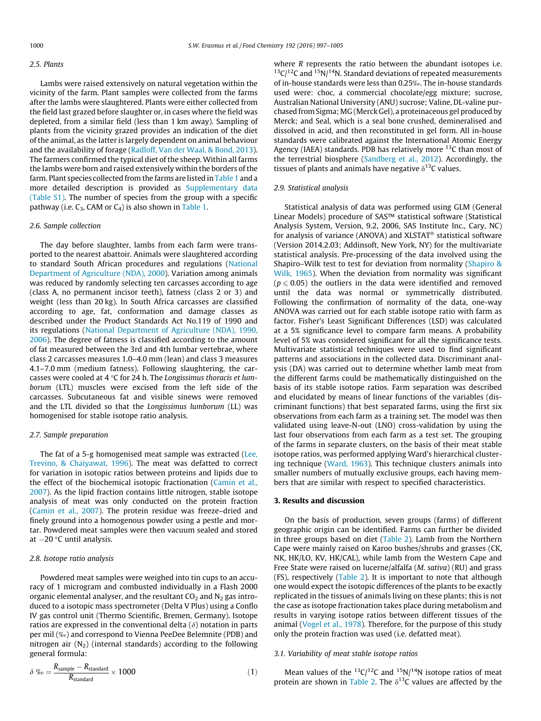#### 2.5. Plants

Lambs were raised extensively on natural vegetation within the vicinity of the farm. Plant samples were collected from the farms after the lambs were slaughtered. Plants were either collected from the field last grazed before slaughter or, in cases where the field was depleted, from a similar field (less than 1 km away). Sampling of plants from the vicinity grazed provides an indication of the diet of the animal, as the latter is largely dependent on animal behaviour and the availability of forage [\(Radloff, Van der Waal, & Bond, 2013\)](#page-7-0). The farmers confirmed the typical diet of the sheep. Within all farms the lambs were born and raised extensively within the borders of the farm. Plant species collected from the farms are listed in [Table 1](#page-2-0) and a more detailed description is provided as Supplementary data (Table S1). The number of species from the group with a specific pathway (i.e.  $C_3$ , CAM or  $C_4$ ) is also shown in [Table 1.](#page-2-0)

#### 2.6. Sample collection

The day before slaughter, lambs from each farm were transported to the nearest abattoir. Animals were slaughtered according to standard South African procedures and regulations ([National](#page-7-0) [Department of Agriculture \(NDA\), 2000](#page-7-0)). Variation among animals was reduced by randomly selecting ten carcasses according to age (class A, no permanent incisor teeth), fatness (class 2 or 3) and weight (less than 20 kg). In South Africa carcasses are classified according to age, fat, conformation and damage classes as described under the Product Standards Act No.119 of 1990 and its regulations ([National Department of Agriculture \(NDA\), 1990,](#page-7-0) [2006\)](#page-7-0). The degree of fatness is classified according to the amount of fat measured between the 3rd and 4th lumbar vertebrae, where class 2 carcasses measures 1.0–4.0 mm (lean) and class 3 measures 4.1–7.0 mm (medium fatness). Following slaughtering, the carcasses were cooled at 4  $\degree$ C for 24 h. The Longissimus thoracis et lumborum (LTL) muscles were excised from the left side of the carcasses. Subcutaneous fat and visible sinews were removed and the LTL divided so that the Longissimus lumborum (LL) was homogenised for stable isotope ratio analysis.

#### 2.7. Sample preparation

The fat of a 5-g homogenised meat sample was extracted [\(Lee,](#page-7-0) [Trevino, & Chaiyawat, 1996\)](#page-7-0). The meat was defatted to correct for variation in isotopic ratios between proteins and lipids due to the effect of the biochemical isotopic fractionation [\(Camin et al.,](#page-7-0) [2007\)](#page-7-0). As the lipid fraction contains little nitrogen, stable isotope analysis of meat was only conducted on the protein fraction ([Camin et al., 2007\)](#page-7-0). The protein residue was freeze–dried and finely ground into a homogenous powder using a pestle and mortar. Powdered meat samples were then vacuum sealed and stored at  $-20\,^{\circ}\textrm{C}$  until analysis.

#### 2.8. Isotope ratio analysis

Powdered meat samples were weighed into tin cups to an accuracy of 1 microgram and combusted individually in a Flash 2000 organic elemental analyser, and the resultant  $CO<sub>2</sub>$  and  $N<sub>2</sub>$  gas introduced to a isotopic mass spectrometer (Delta V Plus) using a Conflo IV gas control unit (Thermo Scientific, Bremen, Germany). Isotope ratios are expressed in the conventional delta  $(\delta)$  notation in parts per mil (‰) and correspond to Vienna PeeDee Belemnite (PDB) and nitrogen air  $(N_2)$  (internal standards) according to the following general formula:

$$
\delta\% = \frac{R_{sample} - R_{standard}}{R_{standard}} \times 1000\tag{1}
$$

where R represents the ratio between the abundant isotopes i.e.  $13C^{12}$ C and  $15N^{14}$ N. Standard deviations of repeated measurements of in-house standards were less than 0.25‰. The in-house standards used were: choc, a commercial chocolate/egg mixture; sucrose, Australian National University (ANU) sucrose; Valine, DL-valine purchased from Sigma; MG (Merck Gel), a proteinaceous gel produced by Merck; and Seal, which is a seal bone crushed, demineralised and dissolved in acid, and then reconstituted in gel form. All in-house standards were calibrated against the International Atomic Energy Agency (IAEA) standards. PDB has relatively more  $^{13}$ C than most of the terrestrial biosphere [\(Sandberg et al., 2012\)](#page-8-0). Accordingly, the tissues of plants and animals have negative  $\delta^{13}$ C values.

# 2.9. Statistical analysis

Statistical analysis of data was performed using GLM (General Linear Models) procedure of SAS™ statistical software (Statistical Analysis System, Version, 9.2, 2006, SAS Institute Inc., Cary, NC) for analysis of variance (ANOVA) and XLSTAT<sup>®</sup> statistical software (Version 2014.2.03; Addinsoft, New York, NY) for the multivariate statistical analysis. Pre-processing of the data involved using the Shapiro–Wilk test to test for deviation from normality ([Shapiro &](#page-8-0) [Wilk, 1965](#page-8-0)). When the deviation from normality was significant ( $p \le 0.05$ ) the outliers in the data were identified and removed until the data was normal or symmetrically distributed. Following the confirmation of normality of the data, one-way ANOVA was carried out for each stable isotope ratio with farm as factor. Fisher's Least Significant Differences (LSD) was calculated at a 5% significance level to compare farm means. A probability level of 5% was considered significant for all the significance tests. Multivariate statistical techniques were used to find significant patterns and associations in the collected data. Discriminant analysis (DA) was carried out to determine whether lamb meat from the different farms could be mathematically distinguished on the basis of its stable isotope ratios. Farm separation was described and elucidated by means of linear functions of the variables (discriminant functions) that best separated farms, using the first six observations from each farm as a training set. The model was then validated using leave-N-out (LNO) cross-validation by using the last four observations from each farm as a test set. The grouping of the farms in separate clusters, on the basis of their meat stable isotope ratios, was performed applying Ward's hierarchical clustering technique [\(Ward, 1963](#page-8-0)). This technique clusters animals into smaller numbers of mutually exclusive groups, each having members that are similar with respect to specified characteristics.

#### 3. Results and discussion

On the basis of production, seven groups (farms) of different geographic origin can be identified. Farms can further be divided in three groups based on diet ([Table 2](#page-4-0)). Lamb from the Northern Cape were mainly raised on Karoo bushes/shrubs and grasses (CK, NK, HK/LO, KV, HK/CAL), while lamb from the Western Cape and Free State were raised on lucerne/alfalfa (M. sativa) (RU) and grass (FS), respectively [\(Table 2](#page-4-0)). It is important to note that although one would expect the isotopic differences of the plants to be exactly replicated in the tissues of animals living on these plants; this is not the case as isotope fractionation takes place during metabolism and results in varying isotope ratios between different tissues of the animal [\(Vogel et al., 1978\)](#page-8-0). Therefore, for the purpose of this study only the protein fraction was used (i.e. defatted meat).

#### 3.1. Variability of meat stable isotope ratios

Mean values of the  ${}^{13}C/{}^{12}C$  and  ${}^{15}N/{}^{14}N$  isotope ratios of meat protein are shown in [Table 2](#page-4-0). The  $\delta^{13}$ C values are affected by the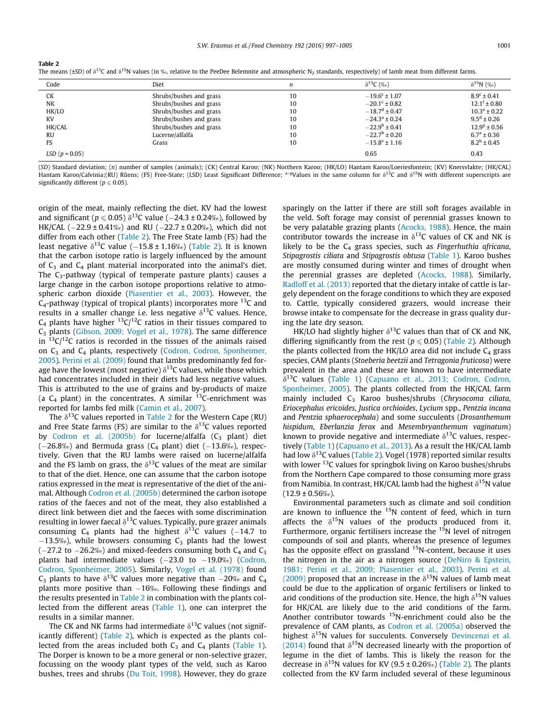| I<br><b>STEP</b><br><b>STEP</b> |  |
|---------------------------------|--|

<span id="page-4-0"></span>

| ×.<br>۰. |  |
|----------|--|
|----------|--|

|  | The means (±SD) of $\delta^{13}$ C and $\delta^{15}$ N values (in ‰, relative to the PeeDee Belemnite and atmospheric N <sub>2</sub> standards, respectively) of lamb meat from different farms. |
|--|--------------------------------------------------------------------------------------------------------------------------------------------------------------------------------------------------|
|--|--------------------------------------------------------------------------------------------------------------------------------------------------------------------------------------------------|

| Code            | Diet                    |    | $\delta^{13}C$ (%e)      | $\delta^{15}$ N (%e)       |
|-----------------|-------------------------|----|--------------------------|----------------------------|
| СK              | Shrubs/bushes and grass | 10 | $-19.6^{\circ} \pm 1.07$ | $8.9^{\circ} \pm 0.41$     |
| NK              | Shrubs/bushes and grass | 10 | $-20.1^{\circ} \pm 0.82$ | $12.1^{\text{f}} \pm 0.80$ |
| HK/LO           | Shrubs/bushes and grass | 10 | $-18.7^{\rm d} \pm 0.47$ | $10.3^e \pm 0.22$          |
| KV              | Shrubs/bushes and grass | 10 | $-24.3^{\circ} \pm 0.24$ | $9.5^{\rm d}$ ± 0.26       |
| HK/CAL          | Shrubs/bushes and grass | 10 | $-22.9^b \pm 0.41$       | $12.9^g \pm 0.56$          |
| RU              | Lucerne/alfalfa         | 10 | $-22.7^{\rm b} \pm 0.20$ | $6.7^{\rm a} \pm 0.36$     |
| FS              | Grass                   | 10 | $-15.8^e \pm 1.16$       | $8.2^{\rm b}$ ± 0.45       |
| $LSD(p = 0.05)$ |                         |    | 0.65                     | 0.43                       |

(SD) Standard deviation; (n) number of samples (animals); (CK) Central Karoo; (NK) Northern Karoo; (HK/LO) Hantam Karoo/Loeriesfontein; (KV) Knersvlakte; (HK/CAL) Hantam Karoo/Calvinia;(RU) Rûens; (FS) Free-State; (LSD) Least Significant Difference; a-gValues in the same column for  $\delta^{13}C$  and  $\delta^{15}N$  with different superscripts are significantly different ( $p \le 0.05$ ).

origin of the meat, mainly reflecting the diet. KV had the lowest and significant ( $p \leqslant 0.05$ )  $\delta^{13}$ C value ( $-24.3 \pm 0.24$ %), followed by HK/CAL (–22.9 ± 0.41‰) and RU (–22.7 ± 0.20‰), which did not differ from each other (Table 2). The Free State lamb (FS) had the least negative  $\delta^{13}$ C value ( $-15.8 \pm 1.16\%$ c) (Table 2). It is known that the carbon isotope ratio is largely influenced by the amount of  $C_3$  and  $C_4$  plant material incorporated into the animal's diet. The  $C_3$ -pathway (typical of temperate pasture plants) causes a large change in the carbon isotope proportions relative to atmospheric carbon dioxide ([Piasentier et al., 2003\)](#page-7-0). However, the  $C_4$ -pathway (typical of tropical plants) incorporates more  $^{13}C$  and results in a smaller change i.e. less negative  $\delta^{13}$ C values. Hence,  $C_4$  plants have higher <sup>13</sup>C/<sup>12</sup>C ratios in their tissues compared to C3 plants ([Gibson, 2009; Vogel et al., 1978\)](#page-7-0). The same difference in  ${}^{13}C/{}^{12}C$  ratios is recorded in the tissues of the animals raised on  $C_3$  and  $C_4$  plants, respectively [\(Codron, Codron, Sponheimer,](#page-7-0) [2005](#page-7-0)). [Perini et al. \(2009\)](#page-7-0) found that lambs predominantly fed forage have the lowest (most negative)  $\delta^{13}$ C values, while those which had concentrates included in their diets had less negative values. This is attributed to the use of grains and by-products of maize (a  $C_4$  plant) in the concentrates. A similar  $^{13}$ C-enrichment was reported for lambs fed milk ([Camin et al., 2007](#page-7-0)).

The  $\delta^{13}$ C values reported in Table 2 for the Western Cape (RU) and Free State farms (FS) are similar to the  $\delta^{13}$ C values reported by Codron et al.  $(2005b)$  for lucerne/alfalfa  $(C_3$  plant) diet  $(-26.8\%)$  and Bermuda grass (C $_4$  plant) diet ( $-13.6\%$ ), respectively. Given that the RU lambs were raised on lucerne/alfalfa and the FS lamb on grass, the  $\delta^{13}$ C values of the meat are similar to that of the diet. Hence, one can assume that the carbon isotope ratios expressed in the meat is representative of the diet of the animal. Although [Codron et al. \(2005b\)](#page-7-0) determined the carbon isotope ratios of the faeces and not of the meat, they also established a direct link between diet and the faeces with some discrimination resulting in lower faecal  $\delta^{13}$ C values. Typically, pure grazer animals consuming  $C_4$  plants had the highest  $\delta^{13}$ C values (-14.7 to  $-13.5\%$ ), while browsers consuming  $C_3$  plants had the lowest ( $-27.2$  to  $-26.2\%$ ) and mixed-feeders consuming both C<sub>4</sub> and C<sub>3</sub> plants had intermediate values (–23.0 to –19.0‰) [\(Codron,](#page-7-0) [Codron, Sponheimer, 2005\)](#page-7-0). Similarly, [Vogel et al. \(1978\)](#page-8-0) found  $C_3$  plants to have  $\delta^{13}$ C values more negative than  $-20\%$  and  $C_4$ plants more positive than –16‰. Following these findings and the results presented in Table 2 in combination with the plants collected from the different areas [\(Table 1](#page-2-0)), one can interpret the results in a similar manner.

The CK and NK farms had intermediate  $\delta^{13}$ C values (not significantly different) (Table 2), which is expected as the plants collected from the areas included both  $C_3$  and  $C_4$  plants ([Table 1\)](#page-2-0). The Dorper is known to be a more general or non-selective grazer, focussing on the woody plant types of the veld, such as Karoo bushes, trees and shrubs ([Du Toit, 1998\)](#page-7-0). However, they do graze sparingly on the latter if there are still soft forages available in the veld. Soft forage may consist of perennial grasses known to be very palatable grazing plants [\(Acocks, 1988](#page-7-0)). Hence, the main contributor towards the increase in  $\delta^{13}$ C values of CK and NK is likely to be the  $C_4$  grass species, such as Fingerhuthia africana, Stipagrostis ciliata and Stipagrostis obtusa [\(Table 1\)](#page-2-0). Karoo bushes are mostly consumed during winter and times of drought when the perennial grasses are depleted [\(Acocks, 1988](#page-7-0)). Similarly, [Radloff et al. \(2013\)](#page-7-0) reported that the dietary intake of cattle is largely dependent on the forage conditions to which they are exposed to. Cattle, typically considered grazers, would increase their browse intake to compensate for the decrease in grass quality during the late dry season.

HK/LO had slightly higher  $\delta^{13}$ C values than that of CK and NK, differing significantly from the rest ( $p \le 0.05$ ) (Table 2). Although the plants collected from the HK/LO area did not include  $C_4$  grass species, CAM plants (Stoeberia beetzii and Tetragonia fruticosa) were prevalent in the area and these are known to have intermediate  $\delta^{13}$ C values ([Table 1](#page-2-0)) [\(Capuano et al., 2013; Codron, Codron,](#page-7-0) [Sponheimer, 2005\)](#page-7-0). The plants collected from the HK/CAL farm mainly included C<sub>3</sub> Karoo bushes/shrubs (Chrysocoma ciliata, Eriocephalus ericoides, Justica orchioides, Lycium spp., Pentzia incana and Pentzia sphaerocephala) and some succulents (Drosanthemum hispidum, Eberlanzia ferox and Mesembryanthemum vaginatum) known to provide negative and intermediate  $\delta^{13}$ C values, respectively ([Table 1](#page-2-0)) [\(Capuano et al., 2013\)](#page-7-0). As a result the HK/CAL lamb had low  $\delta^{13}$ C values (Table 2). Vogel (1978) reported similar results with lower <sup>13</sup>C values for springbok living on Karoo bushes/shrubs from the Northern Cape compared to those consuming more grass from Namibia. In contrast, HK/CAL lamb had the highest  $\delta^{15}N$  value  $(12.9 \pm 0.56\%)$ .

Environmental parameters such as climate and soil condition are known to influence the  $15N$  content of feed, which in turn affects the  $\delta^{15}N$  values of the products produced from it. Furthermore, organic fertilisers increase the  $15N$  level of nitrogen compounds of soil and plants, whereas the presence of legumes has the opposite effect on grassland  $^{15}$ N-content, because it uses the nitrogen in the air as a nitrogen source ([DeNiro & Epstein,](#page-7-0) [1981; Perini et al., 2009; Piasentier et al., 2003\)](#page-7-0). [Perini et al.](#page-7-0) [\(2009\)](#page-7-0) proposed that an increase in the  $\delta^{15}$ N values of lamb meat could be due to the application of organic fertilisers or linked to arid conditions of the production site. Hence, the high  $\delta^{15}N$  values for HK/CAL are likely due to the arid conditions of the farm. Another contributor towards 15N-enrichment could also be the prevalence of CAM plants, as [Codron et al. \(2005a\)](#page-7-0) observed the highest  $\delta^{15}N$  values for succulents. Conversely [Devincenzi et al.](#page-7-0) [\(2014\)](#page-7-0) found that  $\delta^{15}N$  decreased linearly with the proportion of legume in the diet of lambs. This is likely the reason for the decrease in  $\delta^{15}N$  values for KV (9.5 ± 0.26‰) (Table 2). The plants collected from the KV farm included several of these leguminous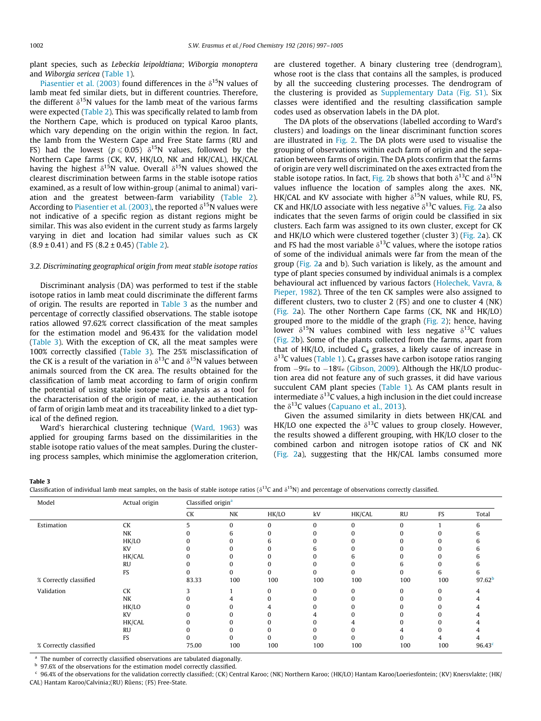plant species, such as Lebeckia leipoldtiana; Wiborgia monoptera and Wiborgia sericea ([Table 1](#page-2-0)).

[Piasentier et al. \(2003\)](#page-7-0) found differences in the  $\delta^{15}N$  values of lamb meat fed similar diets, but in different countries. Therefore, the different  $\delta^{15}N$  values for the lamb meat of the various farms were expected ([Table 2](#page-4-0)). This was specifically related to lamb from the Northern Cape, which is produced on typical Karoo plants, which vary depending on the origin within the region. In fact, the lamb from the Western Cape and Free State farms (RU and FS) had the lowest ( $p \le 0.05$ )  $\delta^{15}$ N values, followed by the Northern Cape farms (CK, KV, HK/LO, NK and HK/CAL), HK/CAL having the highest  $\delta^{15}N$  value. Overall  $\delta^{15}N$  values showed the clearest discrimination between farms in the stable isotope ratios examined, as a result of low within-group (animal to animal) variation and the greatest between-farm variability ([Table 2\)](#page-4-0). According to [Piasentier et al. \(2003\),](#page-7-0) the reported  $\delta^{15}N$  values were not indicative of a specific region as distant regions might be similar. This was also evident in the current study as farms largely varying in diet and location had similar values such as CK  $(8.9 \pm 0.41)$  and FS  $(8.2 \pm 0.45)$  [\(Table 2\)](#page-4-0).

# 3.2. Discriminating geographical origin from meat stable isotope ratios

Discriminant analysis (DA) was performed to test if the stable isotope ratios in lamb meat could discriminate the different farms of origin. The results are reported in Table 3 as the number and percentage of correctly classified observations. The stable isotope ratios allowed 97.62% correct classification of the meat samples for the estimation model and 96.43% for the validation model (Table 3). With the exception of CK, all the meat samples were 100% correctly classified (Table 3). The 25% misclassification of the CK is a result of the variation in  $\delta^{13}$ C and  $\delta^{15}$ N values between animals sourced from the CK area. The results obtained for the classification of lamb meat according to farm of origin confirm the potential of using stable isotope ratio analysis as a tool for the characterisation of the origin of meat, i.e. the authentication of farm of origin lamb meat and its traceability linked to a diet typical of the defined region.

Ward's hierarchical clustering technique ([Ward, 1963\)](#page-8-0) was applied for grouping farms based on the dissimilarities in the stable isotope ratio values of the meat samples. During the clustering process samples, which minimise the agglomeration criterion, are clustered together. A binary clustering tree (dendrogram), whose root is the class that contains all the samples, is produced by all the succeeding clustering processes. The dendrogram of the clustering is provided as Supplementary Data (Fig. S1). Six classes were identified and the resulting classification sample codes used as observation labels in the DA plot.

The DA plots of the observations (labelled according to Ward's clusters) and loadings on the linear discriminant function scores are illustrated in [Fig. 2](#page-6-0). The DA plots were used to visualise the grouping of observations within each farm of origin and the separation between farms of origin. The DA plots confirm that the farms of origin are very well discriminated on the axes extracted from the stable isotope ratios. In fact, [Fig. 2](#page-6-0)b shows that both  $\delta^{13}C$  and  $\delta^{15}N$ values influence the location of samples along the axes. NK, HK/CAL and KV associate with higher  $\delta^{15}N$  values, while RU, FS, CK and HK/LO associate with less negative  $\delta^{13}$ C values. [Fig. 2](#page-6-0)a also indicates that the seven farms of origin could be classified in six clusters. Each farm was assigned to its own cluster, except for CK and HK/LO which were clustered together (cluster 3) [\(Fig. 2a](#page-6-0)). CK and FS had the most variable  $\delta^{13}$ C values, where the isotope ratios of some of the individual animals were far from the mean of the group ([Fig. 2a](#page-6-0) and b). Such variation is likely, as the amount and type of plant species consumed by individual animals is a complex behavioural act influenced by various factors ([Holechek, Vavra, &](#page-7-0) [Pieper, 1982](#page-7-0)). Three of the ten CK samples were also assigned to different clusters, two to cluster 2 (FS) and one to cluster 4 (NK) ([Fig. 2](#page-6-0)a). The other Northern Cape farms (CK, NK and HK/LO) grouped more to the middle of the graph  $(Fig, 2)$ ; hence, having lower  $\delta^{15}$ N values combined with less negative  $\delta^{13}$ C values ([Fig. 2](#page-6-0)b). Some of the plants collected from the farms, apart from that of HK/LO, included  $C_4$  grasses, a likely cause of increase in  $\delta^{13}$ C values ([Table 1](#page-2-0)). C<sub>4</sub> grasses have carbon isotope ratios ranging from  $-9\%$  to  $-18\%$  [\(Gibson, 2009](#page-7-0)). Although the HK/LO production area did not feature any of such grasses, it did have various succulent CAM plant species ([Table 1\)](#page-2-0). As CAM plants result in intermediate  $\delta^{13}$ C values, a high inclusion in the diet could increase the  $\delta^{13}$ C values ([Capuano et al., 2013](#page-7-0)).

Given the assumed similarity in diets between HK/CAL and HK/LO one expected the  $\delta^{13}$ C values to group closely. However, the results showed a different grouping, with HK/LO closer to the combined carbon and nitrogen isotope ratios of CK and NK ([Fig. 2a](#page-6-0)), suggesting that the HK/CAL lambs consumed more

Table 3

Classification of individual lamb meat samples, on the basis of stable isotope ratios ( $\delta^{13}C$  and  $\delta^{15}N$ ) and percentage of observations correctly classified.

| Model                  | Actual origin | Classified origin <sup>a</sup> |     |       |          |              |           |          |                    |
|------------------------|---------------|--------------------------------|-----|-------|----------|--------------|-----------|----------|--------------------|
|                        |               | CK                             | NK  | HK/LO | kV       | HK/CAL       | <b>RU</b> | FS       | Total              |
| Estimation             | <b>CK</b>     |                                | O   | 0     | $\Omega$ | $\Omega$     | 0         |          | հ                  |
|                        | NK            |                                |     |       |          |              |           |          |                    |
|                        | HK/LO         |                                |     | 6     |          |              | O         |          |                    |
|                        | <b>KV</b>     |                                |     |       | 6        | 0            | O         |          |                    |
|                        | HK/CAL        |                                |     |       |          | b            | 0         |          |                    |
|                        | <b>RU</b>     |                                |     |       |          | 0            | h         |          |                    |
|                        | FS            | 0                              | 0   | 0     | 0        | 0            | 0         | 6        | 6                  |
| % Correctly classified |               | 83.33                          | 100 | 100   | 100      | 100          | 100       | 100      | 97.62 <sup>b</sup> |
| Validation             | <b>CK</b>     | 3                              |     | 0     | 0        | $\mathbf{0}$ | 0         | $\Omega$ |                    |
|                        | <b>NK</b>     |                                |     |       |          |              |           |          |                    |
|                        | HK/LO         |                                |     |       |          |              |           |          |                    |
|                        | <b>KV</b>     | O                              |     |       |          | 0            | o         |          |                    |
|                        | HK/CAL        | O                              |     |       | 0        | 4            |           |          |                    |
|                        | <b>RU</b>     |                                |     |       | O        | 0            |           | O        |                    |
|                        | <b>FS</b>     | O                              | n   | 0     | 0        | 0            | 0         | 4        |                    |
| % Correctly classified |               | 75.00                          | 100 | 100   | 100      | 100          | 100       | 100      | 96.43 <sup>c</sup> |

<sup>a</sup> The number of correctly classified observations are tabulated diagonally.

<sup>b</sup> 97.6% of the observations for the estimation model correctly classified.

<sup>c</sup> 96.4% of the observations for the validation correctly classified; (CK) Central Karoo; (NK) Northern Karoo; (HK/LO) Hantam Karoo/Loeriesfontein; (KV) Knersvlakte; (HK/ CAL) Hantam Karoo/Calvinia;(RU) Rûens; (FS) Free-State.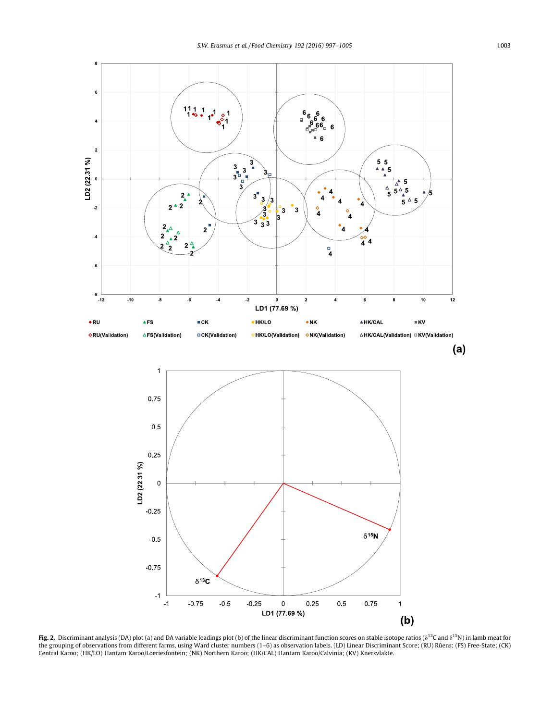<span id="page-6-0"></span>



**Fig. 2.** Discriminant analysis (DA) plot (a) and DA variable loadings plot (b) of the linear discriminant function scores on stable isotope ratios (8<sup>13</sup>C and 8<sup>15</sup>N) in lamb meat for the grouping of observations from different farms, using Ward cluster numbers (1–6) as observation labels. (LD) Linear Discriminant Score; (RU) Rûens; (FS) Free-State; (CK) Central Karoo; (HK/LO) Hantam Karoo/Loeriesfontein; (NK) Northern Karoo; (HK/CAL) Hantam Karoo/Calvinia; (KV) Knersvlakte.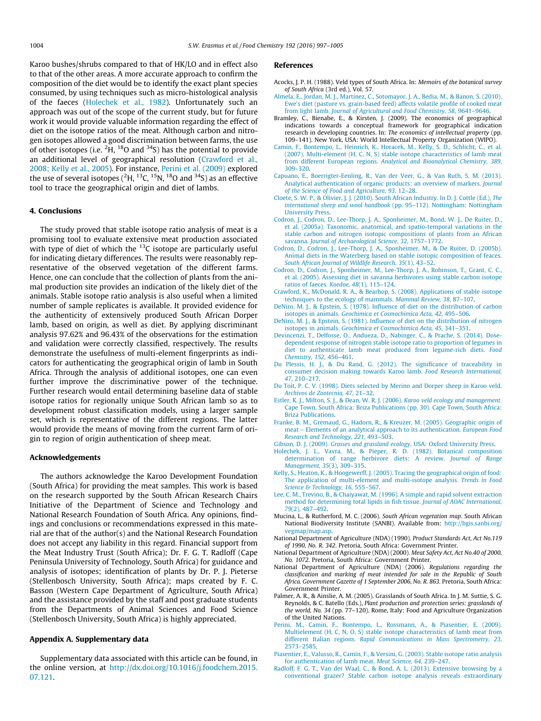<span id="page-7-0"></span>Karoo bushes/shrubs compared to that of HK/LO and in effect also to that of the other areas. A more accurate approach to confirm the composition of the diet would be to identify the exact plant species consumed, by using techniques such as micro-histological analysis of the faeces (Holechek et al., 1982). Unfortunately such an approach was out of the scope of the current study, but for future work it would provide valuable information regarding the effect of diet on the isotope ratios of the meat. Although carbon and nitrogen isotopes allowed a good discrimination between farms, the use of other isotopes (i.e.  ${}^{2}$ H,  ${}^{18}$ O and  ${}^{34}$ S) has the potential to provide an additional level of geographical resolution (Crawford et al., 2008; Kelly et al., 2005). For instance, Perini et al. (2009) explored the use of several isotopes (<sup>2</sup>H, <sup>13</sup>C, <sup>15</sup>N, <sup>18</sup>O and <sup>34</sup>S) as an effective tool to trace the geographical origin and diet of lambs.

## 4. Conclusions

The study proved that stable isotope ratio analysis of meat is a promising tool to evaluate extensive meat production associated with type of diet of which the  $^{13}$ C isotope are particularly useful for indicating dietary differences. The results were reasonably representative of the observed vegetation of the different farms. Hence, one can conclude that the collection of plants from the animal production site provides an indication of the likely diet of the animals. Stable isotope ratio analysis is also useful when a limited number of sample replicates is available. It provided evidence for the authenticity of extensively produced South African Dorper lamb, based on origin, as well as diet. By applying discriminant analysis 97.62% and 96.43% of the observations for the estimation and validation were correctly classified, respectively. The results demonstrate the usefulness of multi-element fingerprints as indicators for authenticating the geographical origin of lamb in South Africa. Through the analysis of additional isotopes, one can even further improve the discriminative power of the technique. Further research would entail determining baseline data of stable isotope ratios for regionally unique South African lamb so as to development robust classification models, using a larger sample set, which is representative of the different regions. The latter would provide the means of moving from the current farm of origin to region of origin authentication of sheep meat.

#### Acknowledgements

The authors acknowledge the Karoo Development Foundation (South Africa) for providing the meat samples. This work is based on the research supported by the South African Research Chairs Initiative of the Department of Science and Technology and National Research Foundation of South Africa. Any opinions, findings and conclusions or recommendations expressed in this material are that of the author(s) and the National Research Foundation does not accept any liability in this regard. Financial support from the Meat Industry Trust (South Africa); Dr. F. G. T. Radloff (Cape Peninsula University of Technology, South Africa) for guidance and analysis of isotopes; identification of plants by Dr. P. J. Pieterse (Stellenbosch University, South Africa); maps created by F. C. Basson (Western Cape Department of Agriculture, South Africa) and the assistance provided by the staff and post graduate students from the Departments of Animal Sciences and Food Science (Stellenbosch University, South Africa) is highly appreciated.

## Appendix A. Supplementary data

Supplementary data associated with this article can be found, in the online version, at [http://dx.doi.org/10.1016/j.foodchem.2015.](http://dx.doi.org/10.1016/j.foodchem.2015.07.121) [07.121](http://dx.doi.org/10.1016/j.foodchem.2015.07.121).

#### References

- Acocks, J. P. H. (1988). Veld types of South Africa. In: Memoirs of the botanical survey of South Africa (3rd ed.), Vol. 57.
- [Almela, E., Jordan, M. J., Martinez, C., Sotomayor, J. A., Bedia, M., & Banon, S. \(2010\).](http://refhub.elsevier.com/S0308-8146(15)01154-1/h0010) [Ewe's diet \(pasture vs. grain-based feed\) affects volatile profile of cooked meat](http://refhub.elsevier.com/S0308-8146(15)01154-1/h0010) from light lamb. [Journal of Agricultural and Food Chemistry, 58](http://refhub.elsevier.com/S0308-8146(15)01154-1/h0010), 9641–9646.
- Bramley, C., Bienabe, E., & Kirsten, J. (2009). The economics of geographical indications towards a conceptual framework for geographical indication research in developing countries. In: The economics of intellectual property (pp. 109–141). New York, USA: World Intellectual Property Organization (WIPO).
- [Camin, F., Bontempo, L., Heinrich, K., Horacek, M., Kelly, S. D., Schlicht, C., et al.](http://refhub.elsevier.com/S0308-8146(15)01154-1/h0025) [\(2007\). Multi-element \(H, C, N, S\) stable isotope characteristics of lamb meat](http://refhub.elsevier.com/S0308-8146(15)01154-1/h0025) from different European regions. [Analytical and Bioanalytical Chemistry, 389](http://refhub.elsevier.com/S0308-8146(15)01154-1/h0025), [309–320](http://refhub.elsevier.com/S0308-8146(15)01154-1/h0025).
- [Capuano, E., Boerrigter-Eenling, R., Van der Veer, G., & Van Ruth, S. M. \(2013\).](http://refhub.elsevier.com/S0308-8146(15)01154-1/h0030) [Analytical authentication of organic products: an overview of markers.](http://refhub.elsevier.com/S0308-8146(15)01154-1/h0030) Journal [of the Science of Food and Agriculture, 93](http://refhub.elsevier.com/S0308-8146(15)01154-1/h0030), 12–28.
- [Cloete, S. W. P., & Olivier, J. J. \(2010\). South African Industry. In D. J. Cottle \(Ed.\),](http://refhub.elsevier.com/S0308-8146(15)01154-1/h0035) The international sheep and wool handbook [\(pp. 95–112\). Nottingham: Nottingham](http://refhub.elsevier.com/S0308-8146(15)01154-1/h0035) [University Press.](http://refhub.elsevier.com/S0308-8146(15)01154-1/h0035)
- [Codron, J., Codron, D., Lee-Thorp, J. A., Sponheimer, M., Bond, W. J., De Ruiter, D.,](http://refhub.elsevier.com/S0308-8146(15)01154-1/h0040) [et al. \(2005a\). Taxonomic, anatomical, and spatio-temporal variations in the](http://refhub.elsevier.com/S0308-8146(15)01154-1/h0040) [stable carbon and nitrogen isotopic compositions of plants from an African](http://refhub.elsevier.com/S0308-8146(15)01154-1/h0040) savanna. [Journal of Archaeological Science, 32](http://refhub.elsevier.com/S0308-8146(15)01154-1/h0040), 1757–1772.
- [Codron, D., Codron, J., Lee-Thorp, J. A., Sponheimer, M., & De Ruiter, D. \(2005b\).](http://refhub.elsevier.com/S0308-8146(15)01154-1/h0045) [Animal diets in the Waterberg based on stable isotopic composition of feaces.](http://refhub.elsevier.com/S0308-8146(15)01154-1/h0045) [South African Journal of Wildlife Research, 35](http://refhub.elsevier.com/S0308-8146(15)01154-1/h0045)(1), 43–52.
- [Codron, D., Codron, J., Sponheimer, M., Lee-Thorp, J. A., Robinson, T., Grant, C. C.,](http://refhub.elsevier.com/S0308-8146(15)01154-1/h0050) [et al. \(2005\). Assessing diet in savanna herbivores using stable carbon isotope](http://refhub.elsevier.com/S0308-8146(15)01154-1/h0050) [ratios of faeces.](http://refhub.elsevier.com/S0308-8146(15)01154-1/h0050) Koedoe, 48(1), 115–124.
- [Crawford, K., McDonald, R. A., & Bearhop, S. \(2008\). Applications of stable isotope](http://refhub.elsevier.com/S0308-8146(15)01154-1/h0055) [techniques to the ecology of mammals.](http://refhub.elsevier.com/S0308-8146(15)01154-1/h0055) Mammal Review, 38, 87–107.
- [DeNiro, M. J., & Epstein, S. \(1978\). Influence of diet on the distribution of carbon](http://refhub.elsevier.com/S0308-8146(15)01154-1/h0060) isotopes in animals. [Geochimica et Cosmochimica Acta, 42](http://refhub.elsevier.com/S0308-8146(15)01154-1/h0060), 495–506.
- [DeNiro, M. J., & Epstein, S. \(1981\). Influence of diet on the distribution of nitrogen](http://refhub.elsevier.com/S0308-8146(15)01154-1/h0065) isotopes in animals. [Geochimica et Cosmochimica Acta, 45](http://refhub.elsevier.com/S0308-8146(15)01154-1/h0065), 341–351.
- [Devincenzi, T., Delfosse, O., Andueza, D., Nabinger, C., & Prache, S. \(2014\). Dose](http://refhub.elsevier.com/S0308-8146(15)01154-1/h0070)[dependent response of nitrogen stable isotope ratio to proportion of legumes in](http://refhub.elsevier.com/S0308-8146(15)01154-1/h0070) [diet to authenticate lamb meat produced from legume-rich diets.](http://refhub.elsevier.com/S0308-8146(15)01154-1/h0070) Food [Chemistry, 152](http://refhub.elsevier.com/S0308-8146(15)01154-1/h0070), 456–461.
- [Du Plessis, H. J., & Du Rand, G. \(2012\). The significance of traceability in](http://refhub.elsevier.com/S0308-8146(15)01154-1/h0075) [consumer decision making towards Karoo lamb.](http://refhub.elsevier.com/S0308-8146(15)01154-1/h0075) Food Research International, 47[, 210–217](http://refhub.elsevier.com/S0308-8146(15)01154-1/h0075).
- [Du Toit, P. C. V. \(1998\). Diets selected by Merino and Dorper sheep in Karoo veld.](http://refhub.elsevier.com/S0308-8146(15)01154-1/h0080) [Archivos de Zootecnia, 47](http://refhub.elsevier.com/S0308-8146(15)01154-1/h0080), 21–32.
- [Estler, K. J., Milton, S. J., & Dean, W. R. J. \(2006\).](http://refhub.elsevier.com/S0308-8146(15)01154-1/h0085) Karoo veld ecology and management. [Cape Town, South Africa: Briza Publications \(pp. 30\). Cape Town, South Africa:](http://refhub.elsevier.com/S0308-8146(15)01154-1/h0085) [Briza Publications.](http://refhub.elsevier.com/S0308-8146(15)01154-1/h0085)
- [Franke, B. M., Gremaud, G., Hadorn, R., & Kreuzer, M. \(2005\). Geographic origin of](http://refhub.elsevier.com/S0308-8146(15)01154-1/h0090) [meat – Elements of an analytical approach to its authentication.](http://refhub.elsevier.com/S0308-8146(15)01154-1/h0090) European Food [Research and Technology, 221](http://refhub.elsevier.com/S0308-8146(15)01154-1/h0090), 493–503.
- Gibson, D. J. (2009). Grasses and grassland ecology[. USA: Oxford University Press](http://refhub.elsevier.com/S0308-8146(15)01154-1/h0095).
- [Holechek, J. L., Vavra, M., & Pieper, R. D. \(1982\). Botanical composition](http://refhub.elsevier.com/S0308-8146(15)01154-1/h0100) [determination of range herbivore diets: A review.](http://refhub.elsevier.com/S0308-8146(15)01154-1/h0100) Journal of Range [Management, 35](http://refhub.elsevier.com/S0308-8146(15)01154-1/h0100)(3), 309–315.
- [Kelly, S., Heaton, K., & Hoogewerff, J. \(2005\). Tracing the geographical origin of food:](http://refhub.elsevier.com/S0308-8146(15)01154-1/h0105) [The application of multi-element and multi-isotope analysis.](http://refhub.elsevier.com/S0308-8146(15)01154-1/h0105) Trends in Food [Science & Technology, 16](http://refhub.elsevier.com/S0308-8146(15)01154-1/h0105), 555-567.
- [Lee, C. M., Trevino, B., & Chaiyawat, M. \(1996\). A simple and rapid solvent extraction](http://refhub.elsevier.com/S0308-8146(15)01154-1/h0110) [method for determining total lipids in fish tissue.](http://refhub.elsevier.com/S0308-8146(15)01154-1/h0110) Journal of AOAC International, 79[\(2\), 487–492.](http://refhub.elsevier.com/S0308-8146(15)01154-1/h0110)
- Mucina, L., & Rutherford, M. C. (2006). South African vegetation map. South African National Biodiversity Institute (SANBI). Available from: [http://bgis.sanbi.org/](http://bgis.sanbi.org/vegmap/map.asp) [vegmap/map.asp.](http://bgis.sanbi.org/vegmap/map.asp)
- National Department of Agriculture (NDA) (1990). Product Standards Act, Act No.119 of 1990, No. R. 342. Pretoria, South Africa: Government Printer.
- National Department of Agriculture (NDA) (2000). Meat Safety Act, Act No.40 of 2000, No. 1072. Pretoria, South Africa: Government Printer.
- National Department of Agriculture (NDA) (2006). Regulations regarding the classification and marking of meat intended for sale in the Republic of South Africa. Government Gazette of 1 September 2006, No. R. 863. Pretoria, South Africa: Government Printer.
- Palmer, A. R., & Ainslie, A. M. (2005). Grasslands of South Africa. In J. M. Suttie, S. G. Reynolds, & C. Batello (Eds.), Plant production and protection series: grasslands of the world, No. 34 (pp. 77–120). Rome, Italy: Food and Agriculture Organization of the United Nations.
- [Perini, M., Camin, F., Bontempo, L., Rossmann, A., & Piasentier, E. \(2009\).](http://refhub.elsevier.com/S0308-8146(15)01154-1/h0145) [Multielement \(H, C, N, O, S\) stable isotope characteristics of lamb meat from](http://refhub.elsevier.com/S0308-8146(15)01154-1/h0145) different Italian regions. [Rapid Communications in Mass Spectrometry, 23](http://refhub.elsevier.com/S0308-8146(15)01154-1/h0145), [2573–2585](http://refhub.elsevier.com/S0308-8146(15)01154-1/h0145).
- [Piasentier, E., Valusso, R., Camin, F., & Versini, G. \(2003\). Stable isotope ratio analysis](http://refhub.elsevier.com/S0308-8146(15)01154-1/h0150) [for authentication of lamb meat.](http://refhub.elsevier.com/S0308-8146(15)01154-1/h0150) Meat Science, 64, 239–247.
- [Radloff, F. G. T., Van der Waal, C., & Bond, A. L. \(2013\). Extensive browsing by a](http://refhub.elsevier.com/S0308-8146(15)01154-1/h0155) [conventional grazer? Stable carbon isotope analysis reveals extraordinary](http://refhub.elsevier.com/S0308-8146(15)01154-1/h0155)